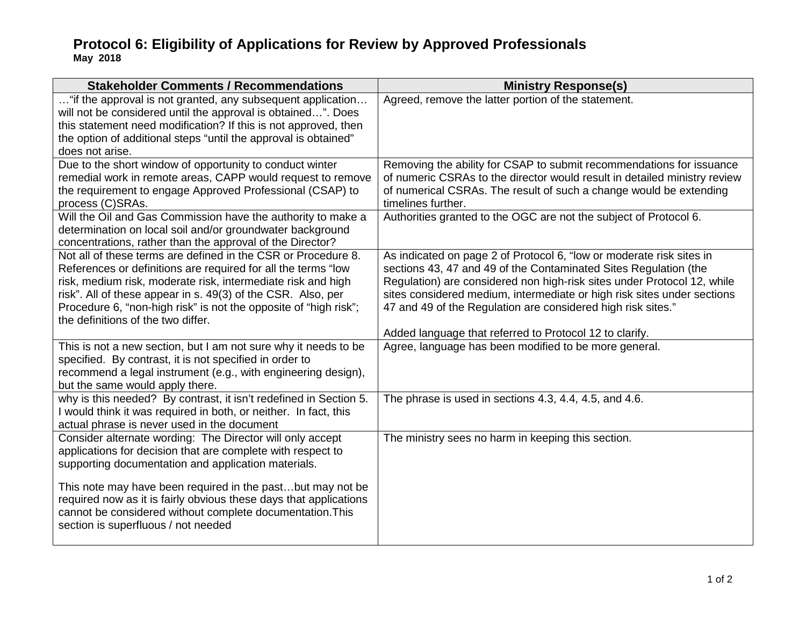## **Protocol 6: Eligibility of Applications for Review by Approved Professionals May 2018**

| <b>Stakeholder Comments / Recommendations</b>                                                                                                                                                                                                                                                                                                                            | <b>Ministry Response(s)</b>                                                                                                                                                                                                                                                                                                                                                                                               |
|--------------------------------------------------------------------------------------------------------------------------------------------------------------------------------------------------------------------------------------------------------------------------------------------------------------------------------------------------------------------------|---------------------------------------------------------------------------------------------------------------------------------------------------------------------------------------------------------------------------------------------------------------------------------------------------------------------------------------------------------------------------------------------------------------------------|
| "if the approval is not granted, any subsequent application<br>will not be considered until the approval is obtained". Does<br>this statement need modification? If this is not approved, then<br>the option of additional steps "until the approval is obtained"<br>does not arise.                                                                                     | Agreed, remove the latter portion of the statement.                                                                                                                                                                                                                                                                                                                                                                       |
| Due to the short window of opportunity to conduct winter<br>remedial work in remote areas, CAPP would request to remove<br>the requirement to engage Approved Professional (CSAP) to<br>process (C)SRAs.                                                                                                                                                                 | Removing the ability for CSAP to submit recommendations for issuance<br>of numeric CSRAs to the director would result in detailed ministry review<br>of numerical CSRAs. The result of such a change would be extending<br>timelines further.                                                                                                                                                                             |
| Will the Oil and Gas Commission have the authority to make a<br>determination on local soil and/or groundwater background<br>concentrations, rather than the approval of the Director?                                                                                                                                                                                   | Authorities granted to the OGC are not the subject of Protocol 6.                                                                                                                                                                                                                                                                                                                                                         |
| Not all of these terms are defined in the CSR or Procedure 8.<br>References or definitions are required for all the terms "low<br>risk, medium risk, moderate risk, intermediate risk and high<br>risk". All of these appear in s. 49(3) of the CSR. Also, per<br>Procedure 6, "non-high risk" is not the opposite of "high risk";<br>the definitions of the two differ. | As indicated on page 2 of Protocol 6, "low or moderate risk sites in<br>sections 43, 47 and 49 of the Contaminated Sites Regulation (the<br>Regulation) are considered non high-risk sites under Protocol 12, while<br>sites considered medium, intermediate or high risk sites under sections<br>47 and 49 of the Regulation are considered high risk sites."<br>Added language that referred to Protocol 12 to clarify. |
| This is not a new section, but I am not sure why it needs to be<br>specified. By contrast, it is not specified in order to<br>recommend a legal instrument (e.g., with engineering design),<br>but the same would apply there.                                                                                                                                           | Agree, language has been modified to be more general.                                                                                                                                                                                                                                                                                                                                                                     |
| why is this needed? By contrast, it isn't redefined in Section 5.<br>I would think it was required in both, or neither. In fact, this<br>actual phrase is never used in the document                                                                                                                                                                                     | The phrase is used in sections 4.3, 4.4, 4.5, and 4.6.                                                                                                                                                                                                                                                                                                                                                                    |
| Consider alternate wording: The Director will only accept<br>applications for decision that are complete with respect to<br>supporting documentation and application materials.                                                                                                                                                                                          | The ministry sees no harm in keeping this section.                                                                                                                                                                                                                                                                                                                                                                        |
| This note may have been required in the pastbut may not be<br>required now as it is fairly obvious these days that applications<br>cannot be considered without complete documentation. This<br>section is superfluous / not needed                                                                                                                                      |                                                                                                                                                                                                                                                                                                                                                                                                                           |